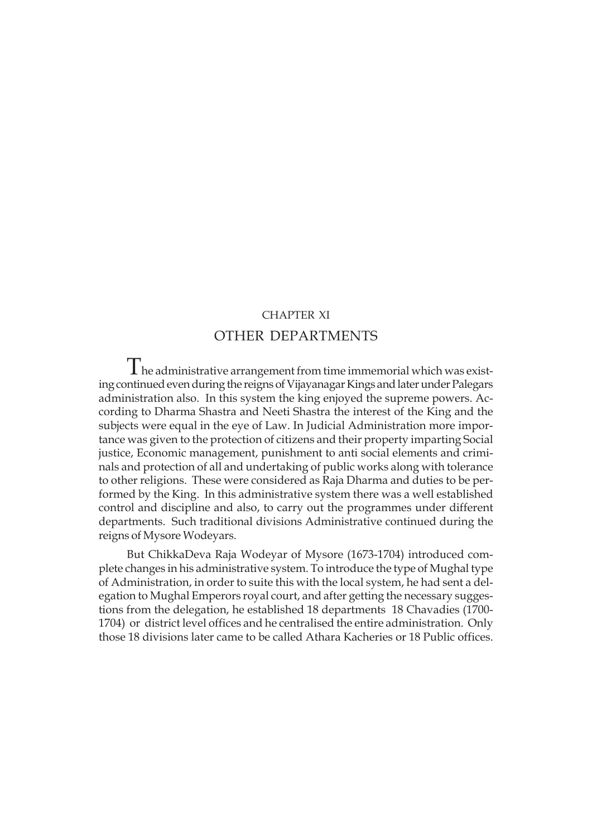# CHAPTER XI OTHER DEPARTMENTS

 $\prod$  he administrative arrangement from time immemorial which was existing continued even during the reigns of Vijayanagar Kings and later under Palegars administration also. In this system the king enjoyed the supreme powers. According to Dharma Shastra and Neeti Shastra the interest of the King and the subjects were equal in the eye of Law. In Judicial Administration more importance was given to the protection of citizens and their property imparting Social justice, Economic management, punishment to anti social elements and criminals and protection of all and undertaking of public works along with tolerance to other religions. These were considered as Raja Dharma and duties to be performed by the King. In this administrative system there was a well established control and discipline and also, to carry out the programmes under different departments. Such traditional divisions Administrative continued during the reigns of Mysore Wodeyars.

But ChikkaDeva Raja Wodeyar of Mysore (1673-1704) introduced complete changes in his administrative system. To introduce the type of Mughal type of Administration, in order to suite this with the local system, he had sent a delegation to Mughal Emperors royal court, and after getting the necessary suggestions from the delegation, he established 18 departments 18 Chavadies (1700- 1704) or district level offices and he centralised the entire administration. Only those 18 divisions later came to be called Athara Kacheries or 18 Public offices.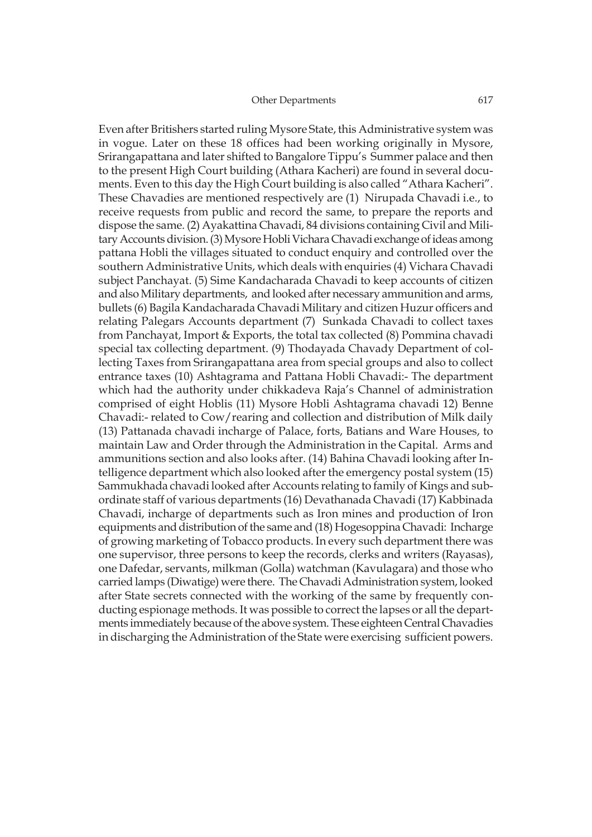Even after Britishers started ruling Mysore State, this Administrative system was in vogue. Later on these 18 offices had been working originally in Mysore, Srirangapattana and later shifted to Bangalore Tippu's Summer palace and then to the present High Court building (Athara Kacheri) are found in several documents. Even to this day the High Court building is also called "Athara Kacheri". These Chavadies are mentioned respectively are (1) Nirupada Chavadi i.e., to receive requests from public and record the same, to prepare the reports and dispose the same. (2) Ayakattina Chavadi, 84 divisions containing Civil and Military Accounts division. (3) Mysore Hobli Vichara Chavadi exchange of ideas among pattana Hobli the villages situated to conduct enquiry and controlled over the southern Administrative Units, which deals with enquiries (4) Vichara Chavadi subject Panchayat. (5) Sime Kandacharada Chavadi to keep accounts of citizen and also Military departments, and looked after necessary ammunition and arms, bullets (6) Bagila Kandacharada Chavadi Military and citizen Huzur officers and relating Palegars Accounts department (7) Sunkada Chavadi to collect taxes from Panchayat, Import & Exports, the total tax collected (8) Pommina chavadi special tax collecting department. (9) Thodayada Chavady Department of collecting Taxes from Srirangapattana area from special groups and also to collect entrance taxes (10) Ashtagrama and Pattana Hobli Chavadi:- The department which had the authority under chikkadeva Raja's Channel of administration comprised of eight Hoblis (11) Mysore Hobli Ashtagrama chavadi 12) Benne Chavadi:- related to Cow/rearing and collection and distribution of Milk daily (13) Pattanada chavadi incharge of Palace, forts, Batians and Ware Houses, to maintain Law and Order through the Administration in the Capital. Arms and ammunitions section and also looks after. (14) Bahina Chavadi looking after Intelligence department which also looked after the emergency postal system (15) Sammukhada chavadi looked after Accounts relating to family of Kings and subordinate staff of various departments (16) Devathanada Chavadi (17) Kabbinada Chavadi, incharge of departments such as Iron mines and production of Iron equipments and distribution of the same and (18) Hogesoppina Chavadi: Incharge of growing marketing of Tobacco products. In every such department there was one supervisor, three persons to keep the records, clerks and writers (Rayasas), one Dafedar, servants, milkman (Golla) watchman (Kavulagara) and those who carried lamps (Diwatige) were there. The Chavadi Administration system, looked after State secrets connected with the working of the same by frequently conducting espionage methods. It was possible to correct the lapses or all the departments immediately because of the above system. These eighteen Central Chavadies in discharging the Administration of the State were exercising sufficient powers.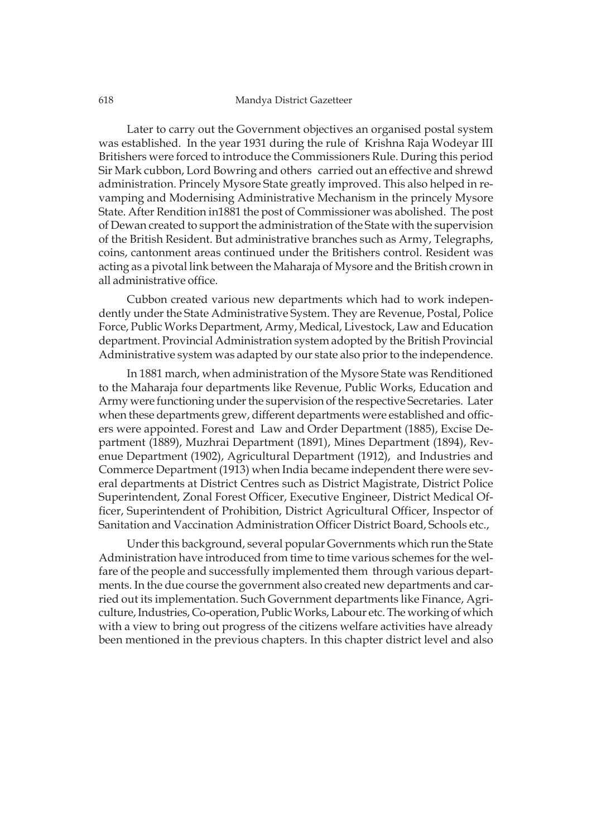Later to carry out the Government objectives an organised postal system was established. In the year 1931 during the rule of Krishna Raja Wodeyar III Britishers were forced to introduce the Commissioners Rule. During this period Sir Mark cubbon, Lord Bowring and others carried out an effective and shrewd administration. Princely Mysore State greatly improved. This also helped in revamping and Modernising Administrative Mechanism in the princely Mysore State. After Rendition in1881 the post of Commissioner was abolished. The post of Dewan created to support the administration of the State with the supervision of the British Resident. But administrative branches such as Army, Telegraphs, coins, cantonment areas continued under the Britishers control. Resident was acting as a pivotal link between the Maharaja of Mysore and the British crown in all administrative office.

Cubbon created various new departments which had to work independently under the State Administrative System. They are Revenue, Postal, Police Force, Public Works Department, Army, Medical, Livestock, Law and Education department. Provincial Administration system adopted by the British Provincial Administrative system was adapted by our state also prior to the independence.

In 1881 march, when administration of the Mysore State was Renditioned to the Maharaja four departments like Revenue, Public Works, Education and Army were functioning under the supervision of the respective Secretaries. Later when these departments grew, different departments were established and officers were appointed. Forest and Law and Order Department (1885), Excise Department (1889), Muzhrai Department (1891), Mines Department (1894), Revenue Department (1902), Agricultural Department (1912), and Industries and Commerce Department (1913) when India became independent there were several departments at District Centres such as District Magistrate, District Police Superintendent, Zonal Forest Officer, Executive Engineer, District Medical Officer, Superintendent of Prohibition, District Agricultural Officer, Inspector of Sanitation and Vaccination Administration Officer District Board, Schools etc.,

Under this background, several popular Governments which run the State Administration have introduced from time to time various schemes for the welfare of the people and successfully implemented them through various departments. In the due course the government also created new departments and carried out its implementation. Such Government departments like Finance, Agriculture, Industries, Co-operation, Public Works, Labour etc. The working of which with a view to bring out progress of the citizens welfare activities have already been mentioned in the previous chapters. In this chapter district level and also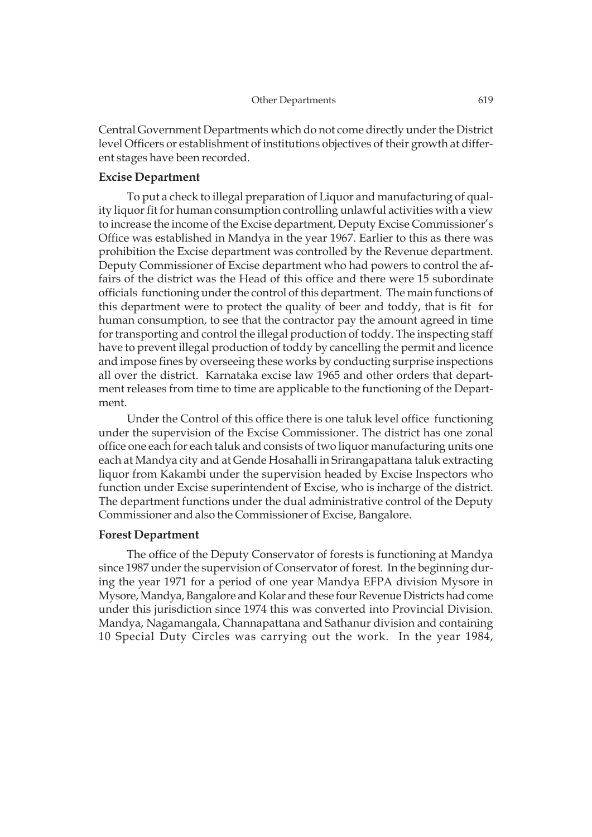Central Government Departments which do not come directly under the District level Officers or establishment of institutions objectives of their growth at different stages have been recorded.

# **Excise Department**

To put a check to illegal preparation of Liquor and manufacturing of quality liquor fit for human consumption controlling unlawful activities with a view to increase the income of the Excise department, Deputy Excise Commissioner's Office was established in Mandya in the year 1967. Earlier to this as there was prohibition the Excise department was controlled by the Revenue department. Deputy Commissioner of Excise department who had powers to control the affairs of the district was the Head of this office and there were 15 subordinate officials functioning under the control of this department. The main functions of this department were to protect the quality of beer and toddy, that is fit for human consumption, to see that the contractor pay the amount agreed in time for transporting and control the illegal production of toddy. The inspecting staff have to prevent illegal production of toddy by cancelling the permit and licence and impose fines by overseeing these works by conducting surprise inspections all over the district. Karnataka excise law 1965 and other orders that department releases from time to time are applicable to the functioning of the Department.

Under the Control of this office there is one taluk level office functioning under the supervision of the Excise Commissioner. The district has one zonal office one each for each taluk and consists of two liquor manufacturing units one each at Mandya city and at Gende Hosahalli in Srirangapattana taluk extracting liquor from Kakambi under the supervision headed by Excise Inspectors who function under Excise superintendent of Excise, who is incharge of the district. The department functions under the dual administrative control of the Deputy Commissioner and also the Commissioner of Excise, Bangalore.

#### **Forest Department**

The office of the Deputy Conservator of forests is functioning at Mandya since 1987 under the supervision of Conservator of forest. In the beginning during the year 1971 for a period of one year Mandya EFPA division Mysore in Mysore, Mandya, Bangalore and Kolar and these four Revenue Districts had come under this jurisdiction since 1974 this was converted into Provincial Division. Mandya, Nagamangala, Channapattana and Sathanur division and containing 10 Special Duty Circles was carrying out the work. In the year 1984,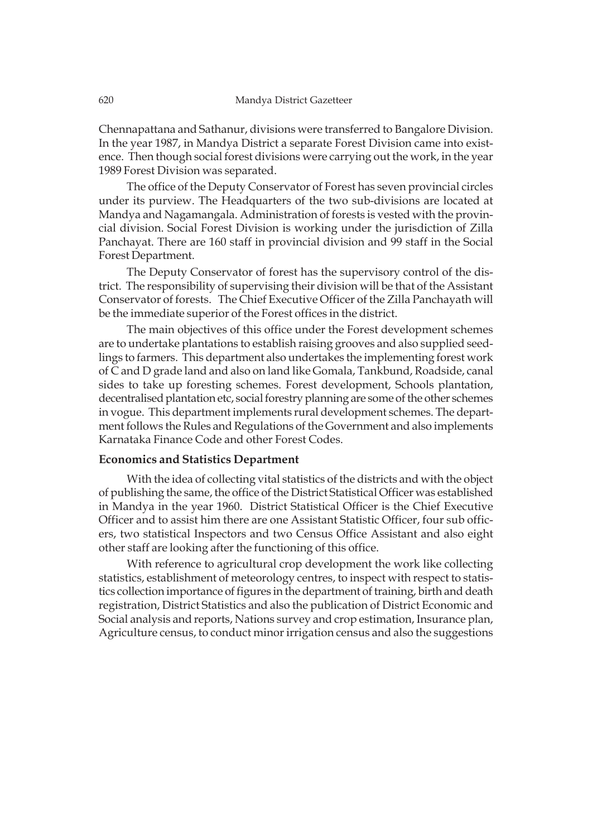Chennapattana and Sathanur, divisions were transferred to Bangalore Division. In the year 1987, in Mandya District a separate Forest Division came into existence. Then though social forest divisions were carrying out the work, in the year 1989 Forest Division was separated.

The office of the Deputy Conservator of Forest has seven provincial circles under its purview. The Headquarters of the two sub-divisions are located at Mandya and Nagamangala. Administration of forests is vested with the provincial division. Social Forest Division is working under the jurisdiction of Zilla Panchayat. There are 160 staff in provincial division and 99 staff in the Social Forest Department.

The Deputy Conservator of forest has the supervisory control of the district. The responsibility of supervising their division will be that of the Assistant Conservator of forests. The Chief Executive Officer of the Zilla Panchayath will be the immediate superior of the Forest offices in the district.

The main objectives of this office under the Forest development schemes are to undertake plantations to establish raising grooves and also supplied seedlings to farmers. This department also undertakes the implementing forest work of C and D grade land and also on land like Gomala, Tankbund, Roadside, canal sides to take up foresting schemes. Forest development, Schools plantation, decentralised plantation etc, social forestry planning are some of the other schemes in vogue. This department implements rural development schemes. The department follows the Rules and Regulations of the Government and also implements Karnataka Finance Code and other Forest Codes.

# **Economics and Statistics Department**

With the idea of collecting vital statistics of the districts and with the object of publishing the same, the office of the District Statistical Officer was established in Mandya in the year 1960. District Statistical Officer is the Chief Executive Officer and to assist him there are one Assistant Statistic Officer, four sub officers, two statistical Inspectors and two Census Office Assistant and also eight other staff are looking after the functioning of this office.

With reference to agricultural crop development the work like collecting statistics, establishment of meteorology centres, to inspect with respect to statistics collection importance of figures in the department of training, birth and death registration, District Statistics and also the publication of District Economic and Social analysis and reports, Nations survey and crop estimation, Insurance plan, Agriculture census, to conduct minor irrigation census and also the suggestions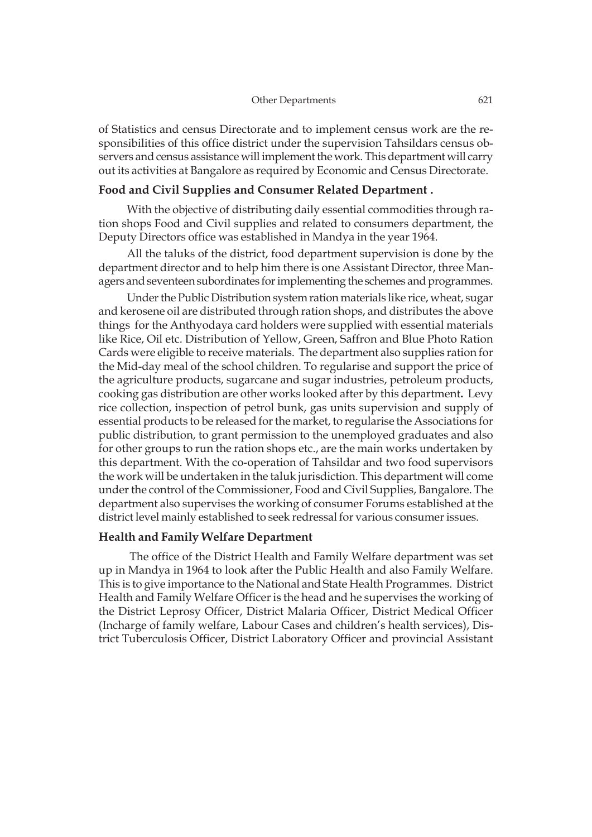of Statistics and census Directorate and to implement census work are the responsibilities of this office district under the supervision Tahsildars census observers and census assistance will implement the work. This department will carry out its activities at Bangalore as required by Economic and Census Directorate.

# **Food and Civil Supplies and Consumer Related Department .**

With the objective of distributing daily essential commodities through ration shops Food and Civil supplies and related to consumers department, the Deputy Directors office was established in Mandya in the year 1964.

All the taluks of the district, food department supervision is done by the department director and to help him there is one Assistant Director, three Managers and seventeen subordinates for implementing the schemes and programmes.

Under the Public Distribution system ration materials like rice, wheat, sugar and kerosene oil are distributed through ration shops, and distributes the above things for the Anthyodaya card holders were supplied with essential materials like Rice, Oil etc. Distribution of Yellow, Green, Saffron and Blue Photo Ration Cards were eligible to receive materials. The department also supplies ration for the Mid-day meal of the school children. To regularise and support the price of the agriculture products, sugarcane and sugar industries, petroleum products, cooking gas distribution are other works looked after by this department**.** Levy rice collection, inspection of petrol bunk, gas units supervision and supply of essential products to be released for the market, to regularise the Associations for public distribution, to grant permission to the unemployed graduates and also for other groups to run the ration shops etc., are the main works undertaken by this department. With the co-operation of Tahsildar and two food supervisors the work will be undertaken in the taluk jurisdiction. This department will come under the control of the Commissioner, Food and Civil Supplies, Bangalore. The department also supervises the working of consumer Forums established at the district level mainly established to seek redressal for various consumer issues.

# **Health and Family Welfare Department**

 The office of the District Health and Family Welfare department was set up in Mandya in 1964 to look after the Public Health and also Family Welfare. This is to give importance to the National and State Health Programmes. District Health and Family Welfare Officer is the head and he supervises the working of the District Leprosy Officer, District Malaria Officer, District Medical Officer (Incharge of family welfare, Labour Cases and children's health services), District Tuberculosis Officer, District Laboratory Officer and provincial Assistant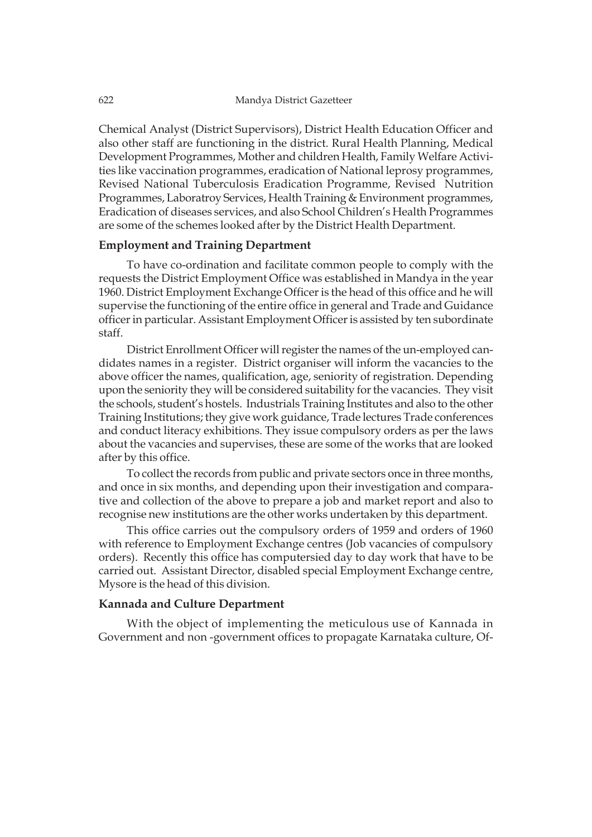Chemical Analyst (District Supervisors), District Health Education Officer and also other staff are functioning in the district. Rural Health Planning, Medical Development Programmes, Mother and children Health, Family Welfare Activities like vaccination programmes, eradication of National leprosy programmes, Revised National Tuberculosis Eradication Programme, Revised Nutrition Programmes, Laboratroy Services, Health Training & Environment programmes, Eradication of diseases services, and also School Children's Health Programmes are some of the schemes looked after by the District Health Department.

# **Employment and Training Department**

To have co-ordination and facilitate common people to comply with the requests the District Employment Office was established in Mandya in the year 1960. District Employment Exchange Officer is the head of this office and he will supervise the functioning of the entire office in general and Trade and Guidance officer in particular. Assistant Employment Officer is assisted by ten subordinate staff.

District Enrollment Officer will register the names of the un-employed candidates names in a register. District organiser will inform the vacancies to the above officer the names, qualification, age, seniority of registration. Depending upon the seniority they will be considered suitability for the vacancies. They visit the schools, student's hostels. Industrials Training Institutes and also to the other Training Institutions; they give work guidance, Trade lectures Trade conferences and conduct literacy exhibitions. They issue compulsory orders as per the laws about the vacancies and supervises, these are some of the works that are looked after by this office.

To collect the records from public and private sectors once in three months, and once in six months, and depending upon their investigation and comparative and collection of the above to prepare a job and market report and also to recognise new institutions are the other works undertaken by this department.

This office carries out the compulsory orders of 1959 and orders of 1960 with reference to Employment Exchange centres (Job vacancies of compulsory orders). Recently this office has computersied day to day work that have to be carried out. Assistant Director, disabled special Employment Exchange centre, Mysore is the head of this division.

# **Kannada and Culture Department**

With the object of implementing the meticulous use of Kannada in Government and non -government offices to propagate Karnataka culture, Of-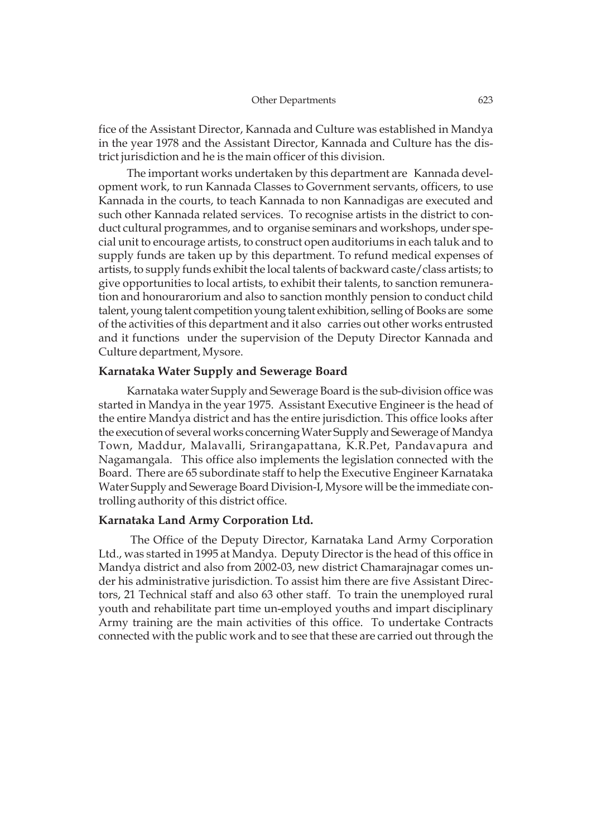fice of the Assistant Director, Kannada and Culture was established in Mandya in the year 1978 and the Assistant Director, Kannada and Culture has the district jurisdiction and he is the main officer of this division.

The important works undertaken by this department are Kannada development work, to run Kannada Classes to Government servants, officers, to use Kannada in the courts, to teach Kannada to non Kannadigas are executed and such other Kannada related services. To recognise artists in the district to conduct cultural programmes, and to organise seminars and workshops, under special unit to encourage artists, to construct open auditoriums in each taluk and to supply funds are taken up by this department. To refund medical expenses of artists, to supply funds exhibit the local talents of backward caste/class artists; to give opportunities to local artists, to exhibit their talents, to sanction remuneration and honourarorium and also to sanction monthly pension to conduct child talent, young talent competition young talent exhibition, selling of Books are some of the activities of this department and it also carries out other works entrusted and it functions under the supervision of the Deputy Director Kannada and Culture department, Mysore.

# **Karnataka Water Supply and Sewerage Board**

Karnataka water Supply and Sewerage Board is the sub-division office was started in Mandya in the year 1975. Assistant Executive Engineer is the head of the entire Mandya district and has the entire jurisdiction. This office looks after the execution of several works concerning Water Supply and Sewerage of Mandya Town, Maddur, Malavalli, Srirangapattana, K.R.Pet, Pandavapura and Nagamangala. This office also implements the legislation connected with the Board. There are 65 subordinate staff to help the Executive Engineer Karnataka Water Supply and Sewerage Board Division-I, Mysore will be the immediate controlling authority of this district office.

# **Karnataka Land Army Corporation Ltd.**

 The Office of the Deputy Director, Karnataka Land Army Corporation Ltd., was started in 1995 at Mandya. Deputy Director is the head of this office in Mandya district and also from 2002-03, new district Chamarajnagar comes under his administrative jurisdiction. To assist him there are five Assistant Directors, 21 Technical staff and also 63 other staff. To train the unemployed rural youth and rehabilitate part time un-employed youths and impart disciplinary Army training are the main activities of this office. To undertake Contracts connected with the public work and to see that these are carried out through the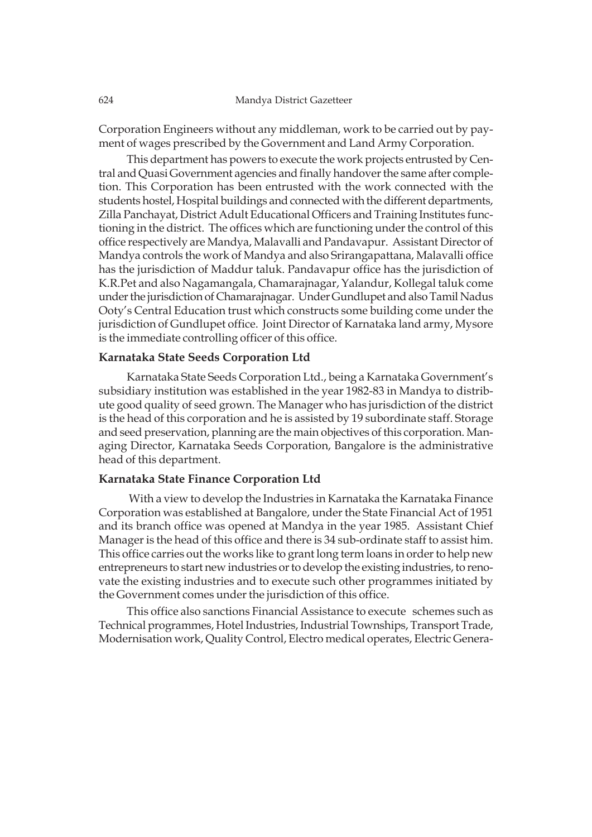Corporation Engineers without any middleman, work to be carried out by payment of wages prescribed by the Government and Land Army Corporation.

This department has powers to execute the work projects entrusted by Central and Quasi Government agencies and finally handover the same after completion. This Corporation has been entrusted with the work connected with the students hostel, Hospital buildings and connected with the different departments, Zilla Panchayat, District Adult Educational Officers and Training Institutes functioning in the district. The offices which are functioning under the control of this office respectively are Mandya, Malavalli and Pandavapur. Assistant Director of Mandya controls the work of Mandya and also Srirangapattana, Malavalli office has the jurisdiction of Maddur taluk. Pandavapur office has the jurisdiction of K.R.Pet and also Nagamangala, Chamarajnagar, Yalandur, Kollegal taluk come under the jurisdiction of Chamarajnagar. Under Gundlupet and also Tamil Nadus Ooty's Central Education trust which constructs some building come under the jurisdiction of Gundlupet office. Joint Director of Karnataka land army, Mysore is the immediate controlling officer of this office.

# **Karnataka State Seeds Corporation Ltd**

Karnataka State Seeds Corporation Ltd., being a Karnataka Government's subsidiary institution was established in the year 1982-83 in Mandya to distribute good quality of seed grown. The Manager who has jurisdiction of the district is the head of this corporation and he is assisted by 19 subordinate staff. Storage and seed preservation, planning are the main objectives of this corporation. Managing Director, Karnataka Seeds Corporation, Bangalore is the administrative head of this department.

# **Karnataka State Finance Corporation Ltd**

 With a view to develop the Industries in Karnataka the Karnataka Finance Corporation was established at Bangalore, under the State Financial Act of 1951 and its branch office was opened at Mandya in the year 1985. Assistant Chief Manager is the head of this office and there is 34 sub-ordinate staff to assist him. This office carries out the works like to grant long term loans in order to help new entrepreneurs to start new industries or to develop the existing industries, to renovate the existing industries and to execute such other programmes initiated by the Government comes under the jurisdiction of this office.

This office also sanctions Financial Assistance to execute schemes such as Technical programmes, Hotel Industries, Industrial Townships, Transport Trade, Modernisation work, Quality Control, Electro medical operates, Electric Genera-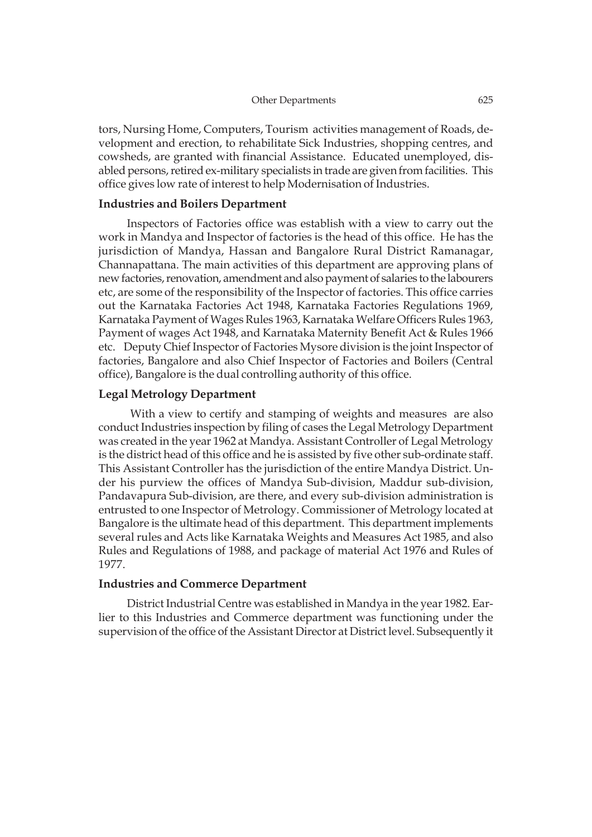tors, Nursing Home, Computers, Tourism activities management of Roads, development and erection, to rehabilitate Sick Industries, shopping centres, and cowsheds, are granted with financial Assistance. Educated unemployed, disabled persons, retired ex-military specialists in trade are given from facilities. This office gives low rate of interest to help Modernisation of Industries.

# **Industries and Boilers Department**

Inspectors of Factories office was establish with a view to carry out the work in Mandya and Inspector of factories is the head of this office. He has the jurisdiction of Mandya, Hassan and Bangalore Rural District Ramanagar, Channapattana. The main activities of this department are approving plans of new factories, renovation, amendment and also payment of salaries to the labourers etc, are some of the responsibility of the Inspector of factories. This office carries out the Karnataka Factories Act 1948, Karnataka Factories Regulations 1969, Karnataka Payment of Wages Rules 1963, Karnataka Welfare Officers Rules 1963, Payment of wages Act 1948, and Karnataka Maternity Benefit Act & Rules 1966 etc. Deputy Chief Inspector of Factories Mysore division is the joint Inspector of factories, Bangalore and also Chief Inspector of Factories and Boilers (Central office), Bangalore is the dual controlling authority of this office.

# **Legal Metrology Department**

 With a view to certify and stamping of weights and measures are also conduct Industries inspection by filing of cases the Legal Metrology Department was created in the year 1962 at Mandya. Assistant Controller of Legal Metrology is the district head of this office and he is assisted by five other sub-ordinate staff. This Assistant Controller has the jurisdiction of the entire Mandya District. Under his purview the offices of Mandya Sub-division, Maddur sub-division, Pandavapura Sub-division, are there, and every sub-division administration is entrusted to one Inspector of Metrology. Commissioner of Metrology located at Bangalore is the ultimate head of this department. This department implements several rules and Acts like Karnataka Weights and Measures Act 1985, and also Rules and Regulations of 1988, and package of material Act 1976 and Rules of 1977.

# **Industries and Commerce Department**

District Industrial Centre was established in Mandya in the year 1982. Earlier to this Industries and Commerce department was functioning under the supervision of the office of the Assistant Director at District level. Subsequently it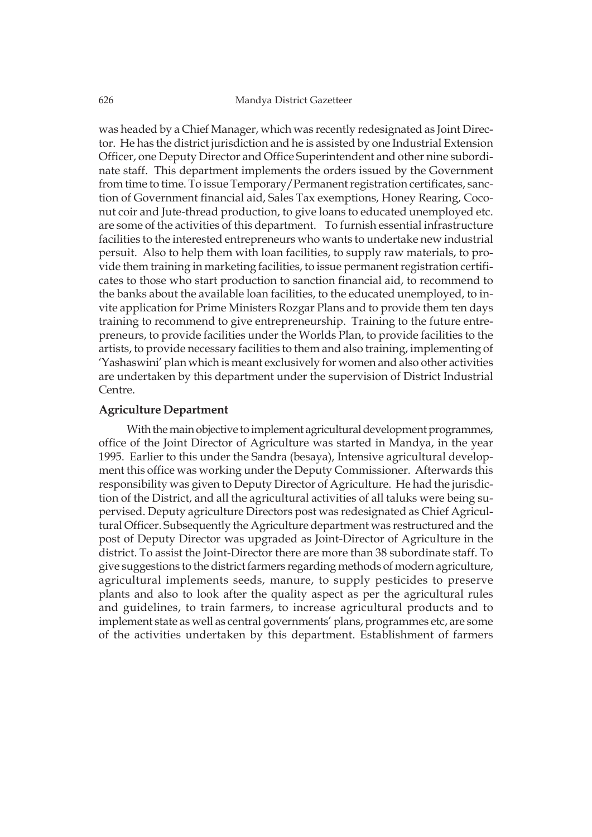was headed by a Chief Manager, which was recently redesignated as Joint Director. He has the district jurisdiction and he is assisted by one Industrial Extension Officer, one Deputy Director and Office Superintendent and other nine subordinate staff. This department implements the orders issued by the Government from time to time. To issue Temporary/Permanent registration certificates, sanction of Government financial aid, Sales Tax exemptions, Honey Rearing, Coconut coir and Jute-thread production, to give loans to educated unemployed etc. are some of the activities of this department. To furnish essential infrastructure facilities to the interested entrepreneurs who wants to undertake new industrial persuit. Also to help them with loan facilities, to supply raw materials, to provide them training in marketing facilities, to issue permanent registration certificates to those who start production to sanction financial aid, to recommend to the banks about the available loan facilities, to the educated unemployed, to invite application for Prime Ministers Rozgar Plans and to provide them ten days training to recommend to give entrepreneurship. Training to the future entrepreneurs, to provide facilities under the Worlds Plan, to provide facilities to the artists, to provide necessary facilities to them and also training, implementing of 'Yashaswini' plan which is meant exclusively for women and also other activities are undertaken by this department under the supervision of District Industrial Centre.

# **Agriculture Department**

With the main objective to implement agricultural development programmes, office of the Joint Director of Agriculture was started in Mandya, in the year 1995. Earlier to this under the Sandra (besaya), Intensive agricultural development this office was working under the Deputy Commissioner. Afterwards this responsibility was given to Deputy Director of Agriculture. He had the jurisdiction of the District, and all the agricultural activities of all taluks were being supervised. Deputy agriculture Directors post was redesignated as Chief Agricultural Officer. Subsequently the Agriculture department was restructured and the post of Deputy Director was upgraded as Joint-Director of Agriculture in the district. To assist the Joint-Director there are more than 38 subordinate staff. To give suggestions to the district farmers regarding methods of modern agriculture, agricultural implements seeds, manure, to supply pesticides to preserve plants and also to look after the quality aspect as per the agricultural rules and guidelines, to train farmers, to increase agricultural products and to implement state as well as central governments' plans, programmes etc, are some of the activities undertaken by this department. Establishment of farmers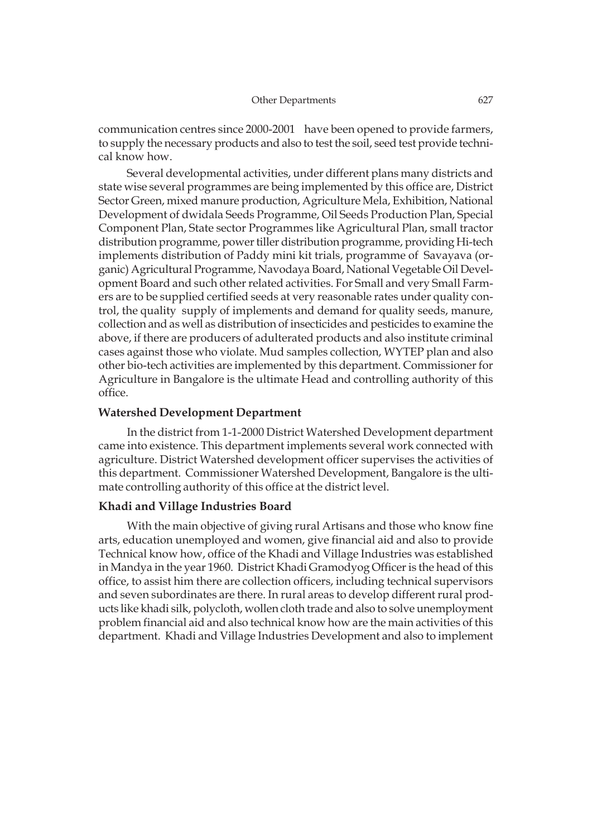communication centres since 2000-2001 have been opened to provide farmers, to supply the necessary products and also to test the soil, seed test provide technical know how.

Several developmental activities, under different plans many districts and state wise several programmes are being implemented by this office are, District Sector Green, mixed manure production, Agriculture Mela, Exhibition, National Development of dwidala Seeds Programme, Oil Seeds Production Plan, Special Component Plan, State sector Programmes like Agricultural Plan, small tractor distribution programme, power tiller distribution programme, providing Hi-tech implements distribution of Paddy mini kit trials, programme of Savayava (organic) Agricultural Programme, Navodaya Board, National Vegetable Oil Development Board and such other related activities. For Small and very Small Farmers are to be supplied certified seeds at very reasonable rates under quality control, the quality supply of implements and demand for quality seeds, manure, collection and as well as distribution of insecticides and pesticides to examine the above, if there are producers of adulterated products and also institute criminal cases against those who violate. Mud samples collection, WYTEP plan and also other bio-tech activities are implemented by this department. Commissioner for Agriculture in Bangalore is the ultimate Head and controlling authority of this office.

# **Watershed Development Department**

In the district from 1-1-2000 District Watershed Development department came into existence. This department implements several work connected with agriculture. District Watershed development officer supervises the activities of this department. Commissioner Watershed Development, Bangalore is the ultimate controlling authority of this office at the district level.

# **Khadi and Village Industries Board**

With the main objective of giving rural Artisans and those who know fine arts, education unemployed and women, give financial aid and also to provide Technical know how, office of the Khadi and Village Industries was established in Mandya in the year 1960. District Khadi Gramodyog Officer is the head of this office, to assist him there are collection officers, including technical supervisors and seven subordinates are there. In rural areas to develop different rural products like khadi silk, polycloth, wollen cloth trade and also to solve unemployment problem financial aid and also technical know how are the main activities of this department. Khadi and Village Industries Development and also to implement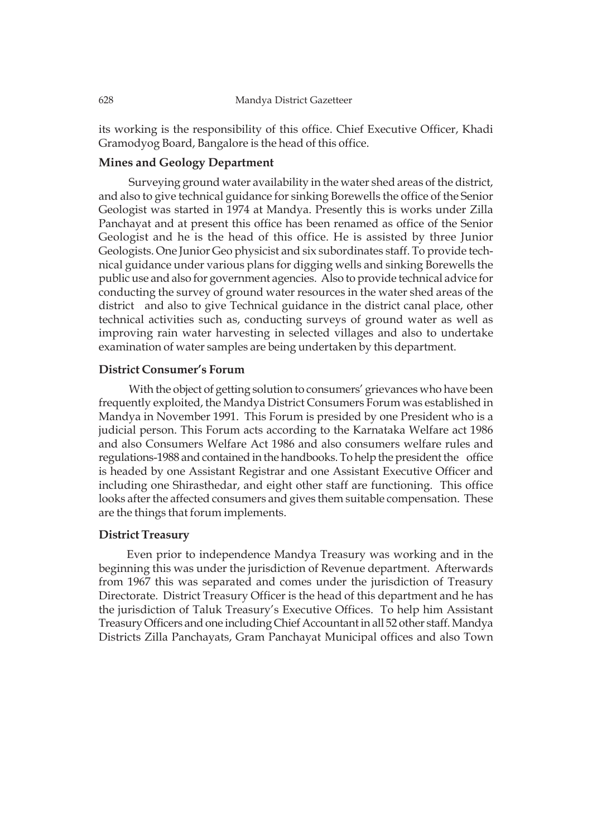its working is the responsibility of this office. Chief Executive Officer, Khadi Gramodyog Board, Bangalore is the head of this office.

# **Mines and Geology Department**

 Surveying ground water availability in the water shed areas of the district, and also to give technical guidance for sinking Borewells the office of the Senior Geologist was started in 1974 at Mandya. Presently this is works under Zilla Panchayat and at present this office has been renamed as office of the Senior Geologist and he is the head of this office. He is assisted by three Junior Geologists. One Junior Geo physicist and six subordinates staff. To provide technical guidance under various plans for digging wells and sinking Borewells the public use and also for government agencies. Also to provide technical advice for conducting the survey of ground water resources in the water shed areas of the district and also to give Technical guidance in the district canal place, other technical activities such as, conducting surveys of ground water as well as improving rain water harvesting in selected villages and also to undertake examination of water samples are being undertaken by this department.

# **District Consumer's Forum**

With the object of getting solution to consumers' grievances who have been frequently exploited, the Mandya District Consumers Forum was established in Mandya in November 1991. This Forum is presided by one President who is a judicial person. This Forum acts according to the Karnataka Welfare act 1986 and also Consumers Welfare Act 1986 and also consumers welfare rules and regulations-1988 and contained in the handbooks. To help the president the office is headed by one Assistant Registrar and one Assistant Executive Officer and including one Shirasthedar, and eight other staff are functioning. This office looks after the affected consumers and gives them suitable compensation. These are the things that forum implements.

# **District Treasury**

Even prior to independence Mandya Treasury was working and in the beginning this was under the jurisdiction of Revenue department. Afterwards from 1967 this was separated and comes under the jurisdiction of Treasury Directorate. District Treasury Officer is the head of this department and he has the jurisdiction of Taluk Treasury's Executive Offices. To help him Assistant Treasury Officers and one including Chief Accountant in all 52 other staff. Mandya Districts Zilla Panchayats, Gram Panchayat Municipal offices and also Town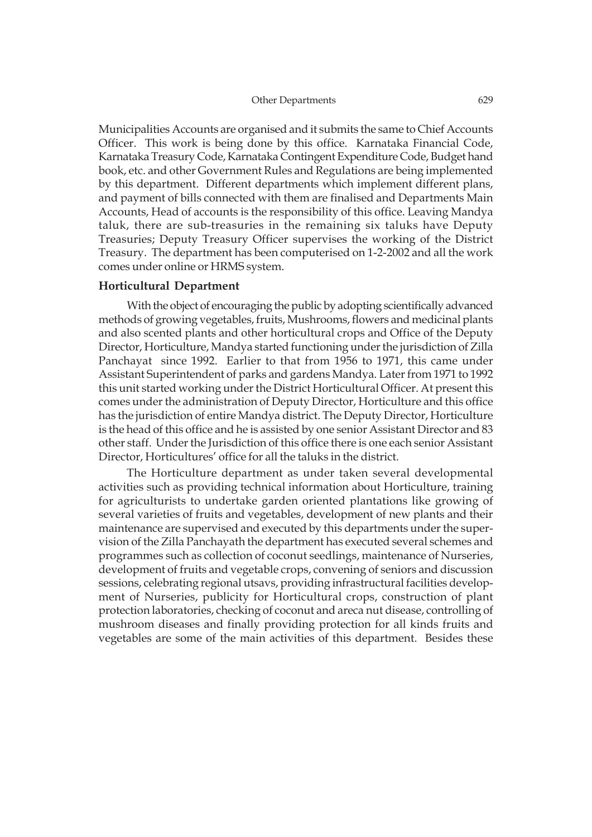Municipalities Accounts are organised and it submits the same to Chief Accounts Officer. This work is being done by this office. Karnataka Financial Code, Karnataka Treasury Code, Karnataka Contingent Expenditure Code, Budget hand book, etc. and other Government Rules and Regulations are being implemented by this department. Different departments which implement different plans, and payment of bills connected with them are finalised and Departments Main Accounts, Head of accounts is the responsibility of this office. Leaving Mandya taluk, there are sub-treasuries in the remaining six taluks have Deputy Treasuries; Deputy Treasury Officer supervises the working of the District Treasury. The department has been computerised on 1-2-2002 and all the work comes under online or HRMS system.

#### **Horticultural Department**

With the object of encouraging the public by adopting scientifically advanced methods of growing vegetables, fruits, Mushrooms, flowers and medicinal plants and also scented plants and other horticultural crops and Office of the Deputy Director, Horticulture, Mandya started functioning under the jurisdiction of Zilla Panchayat since 1992. Earlier to that from 1956 to 1971, this came under Assistant Superintendent of parks and gardens Mandya. Later from 1971 to 1992 this unit started working under the District Horticultural Officer. At present this comes under the administration of Deputy Director, Horticulture and this office has the jurisdiction of entire Mandya district. The Deputy Director, Horticulture is the head of this office and he is assisted by one senior Assistant Director and 83 other staff. Under the Jurisdiction of this office there is one each senior Assistant Director, Horticultures' office for all the taluks in the district.

The Horticulture department as under taken several developmental activities such as providing technical information about Horticulture, training for agriculturists to undertake garden oriented plantations like growing of several varieties of fruits and vegetables, development of new plants and their maintenance are supervised and executed by this departments under the supervision of the Zilla Panchayath the department has executed several schemes and programmes such as collection of coconut seedlings, maintenance of Nurseries, development of fruits and vegetable crops, convening of seniors and discussion sessions, celebrating regional utsavs, providing infrastructural facilities development of Nurseries, publicity for Horticultural crops, construction of plant protection laboratories, checking of coconut and areca nut disease, controlling of mushroom diseases and finally providing protection for all kinds fruits and vegetables are some of the main activities of this department. Besides these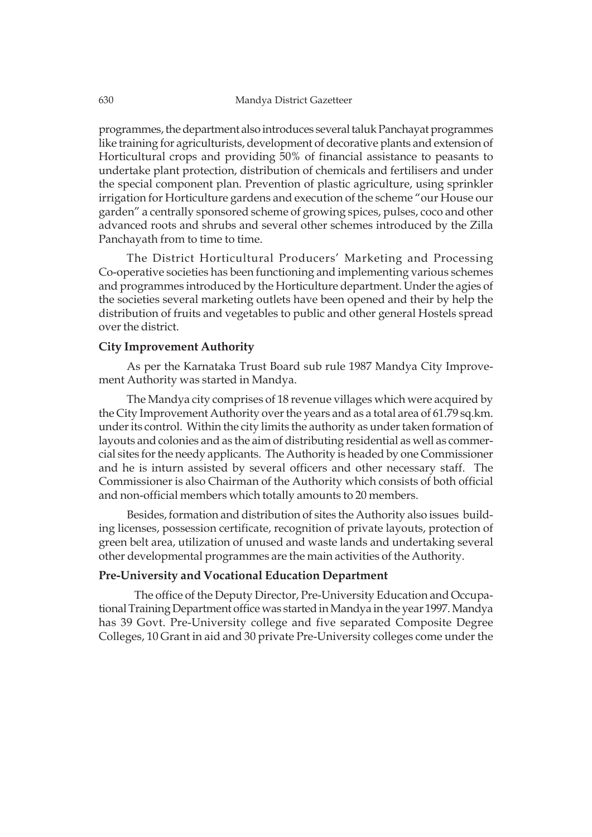programmes, the department also introduces several taluk Panchayat programmes like training for agriculturists, development of decorative plants and extension of Horticultural crops and providing 50% of financial assistance to peasants to undertake plant protection, distribution of chemicals and fertilisers and under the special component plan. Prevention of plastic agriculture, using sprinkler irrigation for Horticulture gardens and execution of the scheme "our House our garden" a centrally sponsored scheme of growing spices, pulses, coco and other advanced roots and shrubs and several other schemes introduced by the Zilla Panchayath from to time to time.

The District Horticultural Producers' Marketing and Processing Co-operative societies has been functioning and implementing various schemes and programmes introduced by the Horticulture department. Under the agies of the societies several marketing outlets have been opened and their by help the distribution of fruits and vegetables to public and other general Hostels spread over the district.

# **City Improvement Authority**

As per the Karnataka Trust Board sub rule 1987 Mandya City Improvement Authority was started in Mandya.

The Mandya city comprises of 18 revenue villages which were acquired by the City Improvement Authority over the years and as a total area of 61.79 sq.km. under its control. Within the city limits the authority as under taken formation of layouts and colonies and as the aim of distributing residential as well as commercial sites for the needy applicants. The Authority is headed by one Commissioner and he is inturn assisted by several officers and other necessary staff. The Commissioner is also Chairman of the Authority which consists of both official and non-official members which totally amounts to 20 members.

Besides, formation and distribution of sites the Authority also issues building licenses, possession certificate, recognition of private layouts, protection of green belt area, utilization of unused and waste lands and undertaking several other developmental programmes are the main activities of the Authority.

# **Pre-University and Vocational Education Department**

The office of the Deputy Director, Pre-University Education and Occupational Training Department office was started in Mandya in the year 1997. Mandya has 39 Govt. Pre-University college and five separated Composite Degree Colleges, 10 Grant in aid and 30 private Pre-University colleges come under the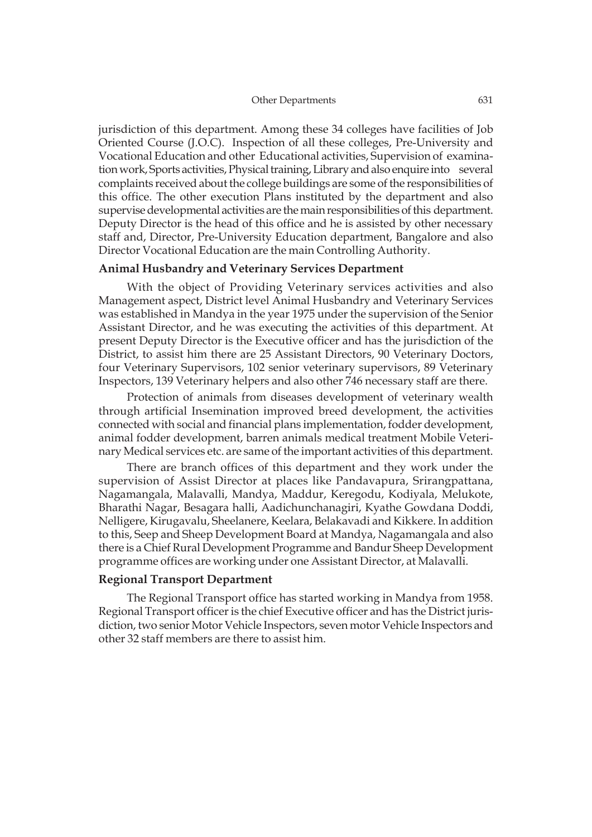jurisdiction of this department. Among these 34 colleges have facilities of Job Oriented Course (J.O.C). Inspection of all these colleges, Pre-University and Vocational Education and other Educational activities, Supervision of examination work, Sports activities, Physical training, Library and also enquire into several complaints received about the college buildings are some of the responsibilities of this office. The other execution Plans instituted by the department and also supervise developmental activities are the main responsibilities of this department. Deputy Director is the head of this office and he is assisted by other necessary staff and, Director, Pre-University Education department, Bangalore and also Director Vocational Education are the main Controlling Authority.

# **Animal Husbandry and Veterinary Services Department**

With the object of Providing Veterinary services activities and also Management aspect, District level Animal Husbandry and Veterinary Services was established in Mandya in the year 1975 under the supervision of the Senior Assistant Director, and he was executing the activities of this department. At present Deputy Director is the Executive officer and has the jurisdiction of the District, to assist him there are 25 Assistant Directors, 90 Veterinary Doctors, four Veterinary Supervisors, 102 senior veterinary supervisors, 89 Veterinary Inspectors, 139 Veterinary helpers and also other 746 necessary staff are there.

Protection of animals from diseases development of veterinary wealth through artificial Insemination improved breed development, the activities connected with social and financial plans implementation, fodder development, animal fodder development, barren animals medical treatment Mobile Veterinary Medical services etc. are same of the important activities of this department.

There are branch offices of this department and they work under the supervision of Assist Director at places like Pandavapura, Srirangpattana, Nagamangala, Malavalli, Mandya, Maddur, Keregodu, Kodiyala, Melukote, Bharathi Nagar, Besagara halli, Aadichunchanagiri, Kyathe Gowdana Doddi, Nelligere, Kirugavalu, Sheelanere, Keelara, Belakavadi and Kikkere. In addition to this, Seep and Sheep Development Board at Mandya, Nagamangala and also there is a Chief Rural Development Programme and Bandur Sheep Development programme offices are working under one Assistant Director, at Malavalli.

### **Regional Transport Department**

The Regional Transport office has started working in Mandya from 1958. Regional Transport officer is the chief Executive officer and has the District jurisdiction, two senior Motor Vehicle Inspectors, seven motor Vehicle Inspectors and other 32 staff members are there to assist him.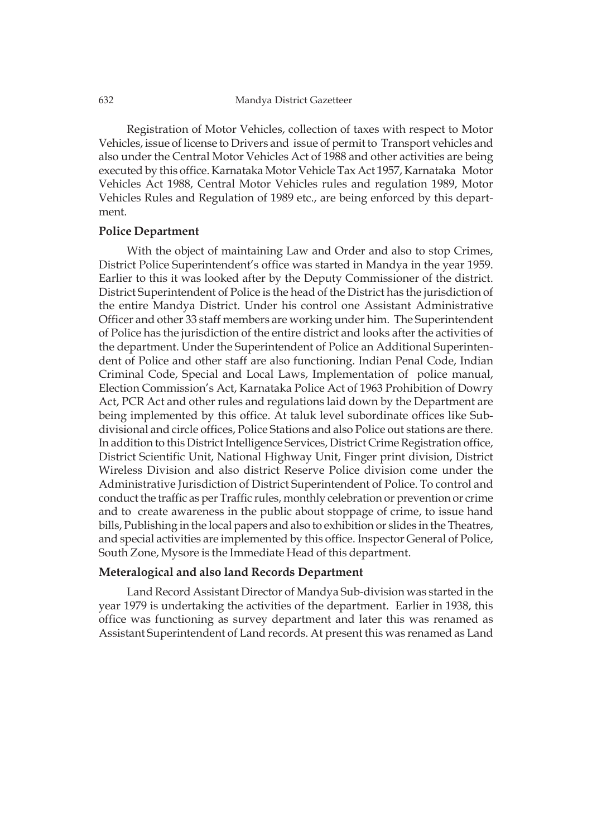Registration of Motor Vehicles, collection of taxes with respect to Motor Vehicles, issue of license to Drivers and issue of permit to Transport vehicles and also under the Central Motor Vehicles Act of 1988 and other activities are being executed by this office. Karnataka Motor Vehicle Tax Act 1957, Karnataka Motor Vehicles Act 1988, Central Motor Vehicles rules and regulation 1989, Motor Vehicles Rules and Regulation of 1989 etc., are being enforced by this department.

#### **Police Department**

With the object of maintaining Law and Order and also to stop Crimes, District Police Superintendent's office was started in Mandya in the year 1959. Earlier to this it was looked after by the Deputy Commissioner of the district. District Superintendent of Police is the head of the District has the jurisdiction of the entire Mandya District. Under his control one Assistant Administrative Officer and other 33 staff members are working under him. The Superintendent of Police has the jurisdiction of the entire district and looks after the activities of the department. Under the Superintendent of Police an Additional Superintendent of Police and other staff are also functioning. Indian Penal Code, Indian Criminal Code, Special and Local Laws, Implementation of police manual, Election Commission's Act, Karnataka Police Act of 1963 Prohibition of Dowry Act, PCR Act and other rules and regulations laid down by the Department are being implemented by this office. At taluk level subordinate offices like Subdivisional and circle offices, Police Stations and also Police out stations are there. In addition to this District Intelligence Services, District Crime Registration office, District Scientific Unit, National Highway Unit, Finger print division, District Wireless Division and also district Reserve Police division come under the Administrative Jurisdiction of District Superintendent of Police. To control and conduct the traffic as per Traffic rules, monthly celebration or prevention or crime and to create awareness in the public about stoppage of crime, to issue hand bills, Publishing in the local papers and also to exhibition or slides in the Theatres, and special activities are implemented by this office. Inspector General of Police, South Zone, Mysore is the Immediate Head of this department.

# **Meteralogical and also land Records Department**

Land Record Assistant Director of Mandya Sub-division was started in the year 1979 is undertaking the activities of the department. Earlier in 1938, this office was functioning as survey department and later this was renamed as Assistant Superintendent of Land records. At present this was renamed as Land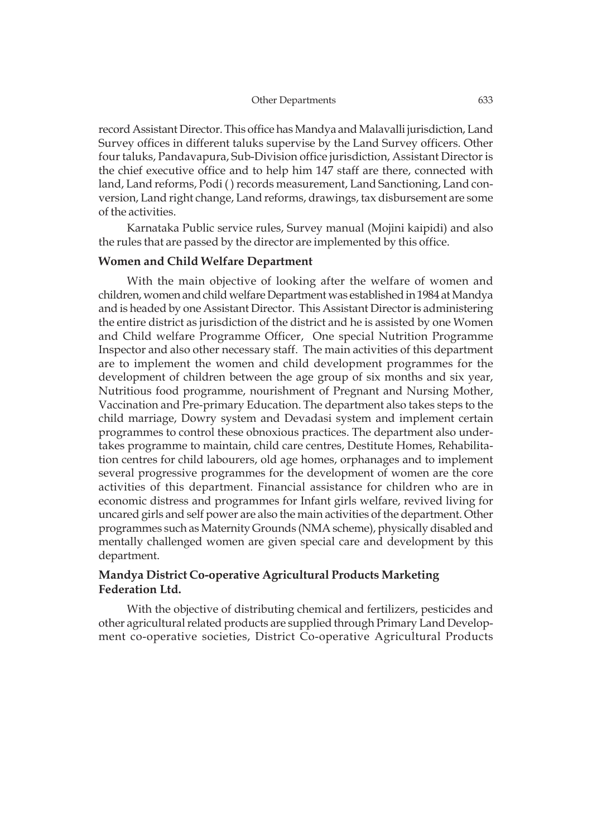#### Other Departments 633

record Assistant Director. This office has Mandya and Malavalli jurisdiction, Land Survey offices in different taluks supervise by the Land Survey officers. Other four taluks, Pandavapura, Sub-Division office jurisdiction, Assistant Director is the chief executive office and to help him 147 staff are there, connected with land, Land reforms, Podi ( ) records measurement, Land Sanctioning, Land conversion, Land right change, Land reforms, drawings, tax disbursement are some of the activities.

Karnataka Public service rules, Survey manual (Mojini kaipidi) and also the rules that are passed by the director are implemented by this office.

# **Women and Child Welfare Department**

With the main objective of looking after the welfare of women and children, women and child welfare Department was established in 1984 at Mandya and is headed by one Assistant Director. This Assistant Director is administering the entire district as jurisdiction of the district and he is assisted by one Women and Child welfare Programme Officer, One special Nutrition Programme Inspector and also other necessary staff. The main activities of this department are to implement the women and child development programmes for the development of children between the age group of six months and six year, Nutritious food programme, nourishment of Pregnant and Nursing Mother, Vaccination and Pre-primary Education. The department also takes steps to the child marriage, Dowry system and Devadasi system and implement certain programmes to control these obnoxious practices. The department also undertakes programme to maintain, child care centres, Destitute Homes, Rehabilitation centres for child labourers, old age homes, orphanages and to implement several progressive programmes for the development of women are the core activities of this department. Financial assistance for children who are in economic distress and programmes for Infant girls welfare, revived living for uncared girls and self power are also the main activities of the department. Other programmes such as Maternity Grounds (NMA scheme), physically disabled and mentally challenged women are given special care and development by this department.

# **Mandya District Co-operative Agricultural Products Marketing Federation Ltd.**

With the objective of distributing chemical and fertilizers, pesticides and other agricultural related products are supplied through Primary Land Development co-operative societies, District Co-operative Agricultural Products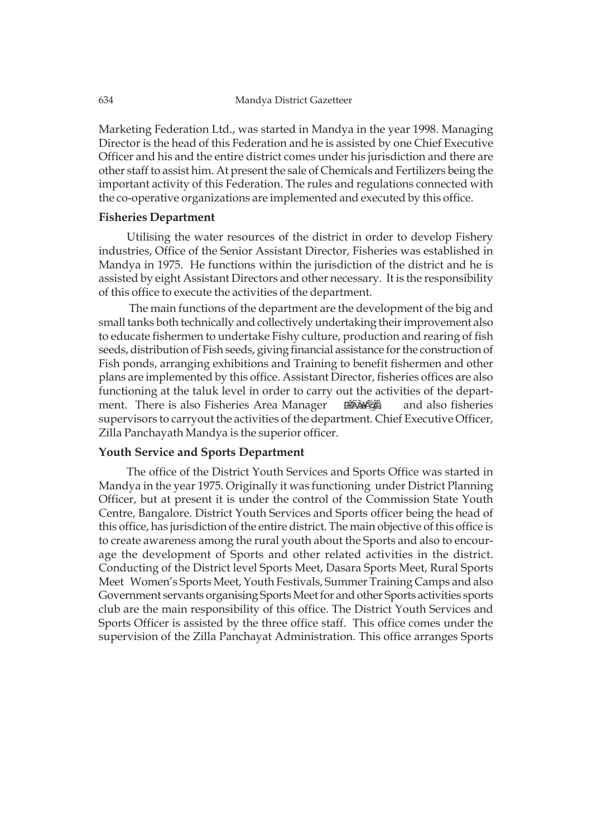Marketing Federation Ltd., was started in Mandya in the year 1998. Managing Director is the head of this Federation and he is assisted by one Chief Executive Officer and his and the entire district comes under his jurisdiction and there are other staff to assist him. At present the sale of Chemicals and Fertilizers being the important activity of this Federation. The rules and regulations connected with the co-operative organizations are implemented and executed by this office.

# **Fisheries Department**

Utilising the water resources of the district in order to develop Fishery industries, Office of the Senior Assistant Director, Fisheries was established in Mandya in 1975. He functions within the jurisdiction of the district and he is assisted by eight Assistant Directors and other necessary. It is the responsibility of this office to execute the activities of the department.

 The main functions of the department are the development of the big and small tanks both technically and collectively undertaking their improvement also to educate fishermen to undertake Fishy culture, production and rearing of fish seeds, distribution of Fish seeds, giving financial assistance for the construction of Fish ponds, arranging exhibitions and Training to benefit fishermen and other plans are implemented by this office. Assistant Director, fisheries offices are also functioning at the taluk level in order to carry out the activities of the department. There is also Fisheries Area Manager  $\qquad \qquad \text{if } \mathbb{R}$  and also fisheries supervisors to carryout the activities of the department. Chief Executive Officer, Zilla Panchayath Mandya is the superior officer. (PÉÉRABARA)

# **Youth Service and Sports Department**

The office of the District Youth Services and Sports Office was started in Mandya in the year 1975. Originally it was functioning under District Planning Officer, but at present it is under the control of the Commission State Youth Centre, Bangalore. District Youth Services and Sports officer being the head of this office, has jurisdiction of the entire district. The main objective of this office is to create awareness among the rural youth about the Sports and also to encourage the development of Sports and other related activities in the district. Conducting of the District level Sports Meet, Dasara Sports Meet, Rural Sports Meet Women's Sports Meet, Youth Festivals, Summer Training Camps and also Government servants organising Sports Meet for and other Sports activities sports club are the main responsibility of this office. The District Youth Services and Sports Officer is assisted by the three office staff. This office comes under the supervision of the Zilla Panchayat Administration. This office arranges Sports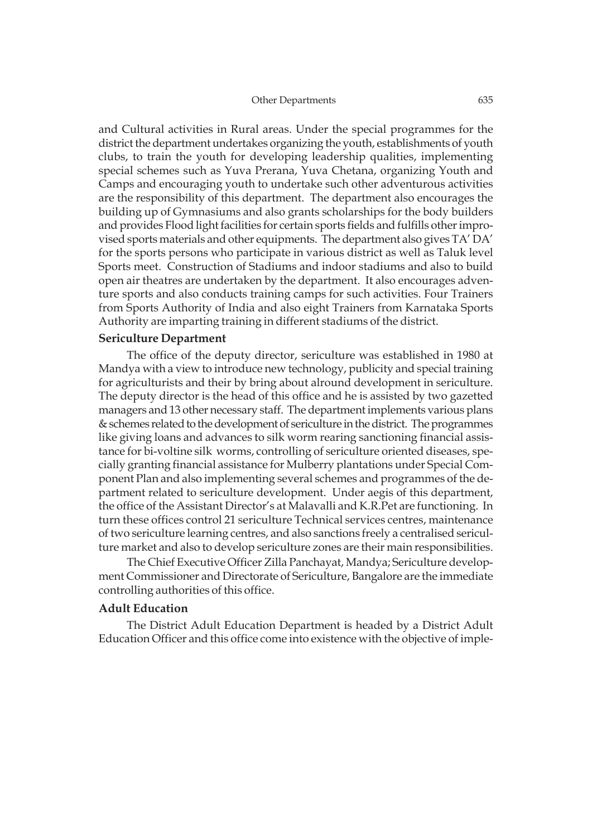#### Other Departments 635

and Cultural activities in Rural areas. Under the special programmes for the district the department undertakes organizing the youth, establishments of youth clubs, to train the youth for developing leadership qualities, implementing special schemes such as Yuva Prerana, Yuva Chetana, organizing Youth and Camps and encouraging youth to undertake such other adventurous activities are the responsibility of this department. The department also encourages the building up of Gymnasiums and also grants scholarships for the body builders and provides Flood light facilities for certain sports fields and fulfills other improvised sports materials and other equipments. The department also gives TA' DA' for the sports persons who participate in various district as well as Taluk level Sports meet. Construction of Stadiums and indoor stadiums and also to build open air theatres are undertaken by the department. It also encourages adventure sports and also conducts training camps for such activities. Four Trainers from Sports Authority of India and also eight Trainers from Karnataka Sports Authority are imparting training in different stadiums of the district.

# **Sericulture Department**

The office of the deputy director, sericulture was established in 1980 at Mandya with a view to introduce new technology, publicity and special training for agriculturists and their by bring about alround development in sericulture. The deputy director is the head of this office and he is assisted by two gazetted managers and 13 other necessary staff. The department implements various plans & schemes related to the development of sericulture in the district. The programmes like giving loans and advances to silk worm rearing sanctioning financial assistance for bi-voltine silk worms, controlling of sericulture oriented diseases, specially granting financial assistance for Mulberry plantations under Special Component Plan and also implementing several schemes and programmes of the department related to sericulture development. Under aegis of this department, the office of the Assistant Director's at Malavalli and K.R.Pet are functioning. In turn these offices control 21 sericulture Technical services centres, maintenance of two sericulture learning centres, and also sanctions freely a centralised sericulture market and also to develop sericulture zones are their main responsibilities.

The Chief Executive Officer Zilla Panchayat, Mandya; Sericulture development Commissioner and Directorate of Sericulture, Bangalore are the immediate controlling authorities of this office.

# **Adult Education**

The District Adult Education Department is headed by a District Adult Education Officer and this office come into existence with the objective of imple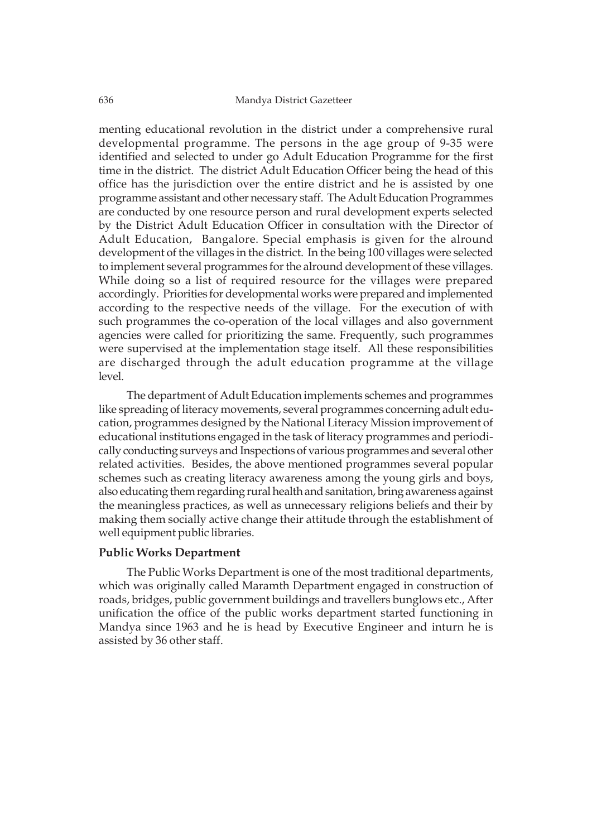menting educational revolution in the district under a comprehensive rural developmental programme. The persons in the age group of 9-35 were identified and selected to under go Adult Education Programme for the first time in the district. The district Adult Education Officer being the head of this office has the jurisdiction over the entire district and he is assisted by one programme assistant and other necessary staff. The Adult Education Programmes are conducted by one resource person and rural development experts selected by the District Adult Education Officer in consultation with the Director of Adult Education, Bangalore. Special emphasis is given for the alround development of the villages in the district. In the being 100 villages were selected to implement several programmes for the alround development of these villages. While doing so a list of required resource for the villages were prepared accordingly. Priorities for developmental works were prepared and implemented according to the respective needs of the village. For the execution of with such programmes the co-operation of the local villages and also government agencies were called for prioritizing the same. Frequently, such programmes were supervised at the implementation stage itself. All these responsibilities are discharged through the adult education programme at the village level.

The department of Adult Education implements schemes and programmes like spreading of literacy movements, several programmes concerning adult education, programmes designed by the National Literacy Mission improvement of educational institutions engaged in the task of literacy programmes and periodically conducting surveys and Inspections of various programmes and several other related activities. Besides, the above mentioned programmes several popular schemes such as creating literacy awareness among the young girls and boys, also educating them regarding rural health and sanitation, bring awareness against the meaningless practices, as well as unnecessary religions beliefs and their by making them socially active change their attitude through the establishment of well equipment public libraries.

# **Public Works Department**

The Public Works Department is one of the most traditional departments, which was originally called Maramth Department engaged in construction of roads, bridges, public government buildings and travellers bunglows etc., After unification the office of the public works department started functioning in Mandya since 1963 and he is head by Executive Engineer and inturn he is assisted by 36 other staff.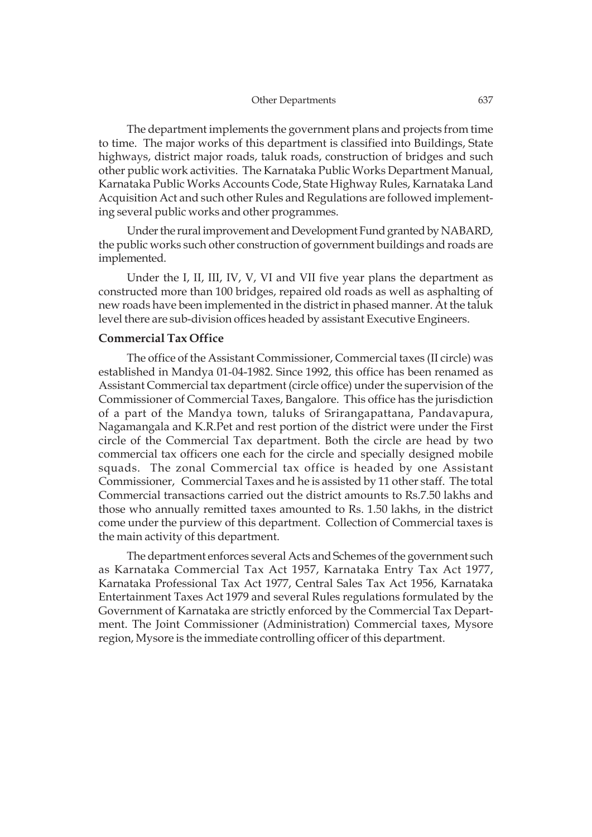The department implements the government plans and projects from time to time. The major works of this department is classified into Buildings, State highways, district major roads, taluk roads, construction of bridges and such other public work activities. The Karnataka Public Works Department Manual, Karnataka Public Works Accounts Code, State Highway Rules, Karnataka Land Acquisition Act and such other Rules and Regulations are followed implementing several public works and other programmes.

Under the rural improvement and Development Fund granted by NABARD, the public works such other construction of government buildings and roads are implemented.

Under the I, II, III, IV, V, VI and VII five year plans the department as constructed more than 100 bridges, repaired old roads as well as asphalting of new roads have been implemented in the district in phased manner. At the taluk level there are sub-division offices headed by assistant Executive Engineers.

### **Commercial Tax Office**

The office of the Assistant Commissioner, Commercial taxes (II circle) was established in Mandya 01-04-1982. Since 1992, this office has been renamed as Assistant Commercial tax department (circle office) under the supervision of the Commissioner of Commercial Taxes, Bangalore. This office has the jurisdiction of a part of the Mandya town, taluks of Srirangapattana, Pandavapura, Nagamangala and K.R.Pet and rest portion of the district were under the First circle of the Commercial Tax department. Both the circle are head by two commercial tax officers one each for the circle and specially designed mobile squads. The zonal Commercial tax office is headed by one Assistant Commissioner, Commercial Taxes and he is assisted by 11 other staff. The total Commercial transactions carried out the district amounts to Rs.7.50 lakhs and those who annually remitted taxes amounted to Rs. 1.50 lakhs, in the district come under the purview of this department. Collection of Commercial taxes is the main activity of this department.

The department enforces several Acts and Schemes of the government such as Karnataka Commercial Tax Act 1957, Karnataka Entry Tax Act 1977, Karnataka Professional Tax Act 1977, Central Sales Tax Act 1956, Karnataka Entertainment Taxes Act 1979 and several Rules regulations formulated by the Government of Karnataka are strictly enforced by the Commercial Tax Department. The Joint Commissioner (Administration) Commercial taxes, Mysore region, Mysore is the immediate controlling officer of this department.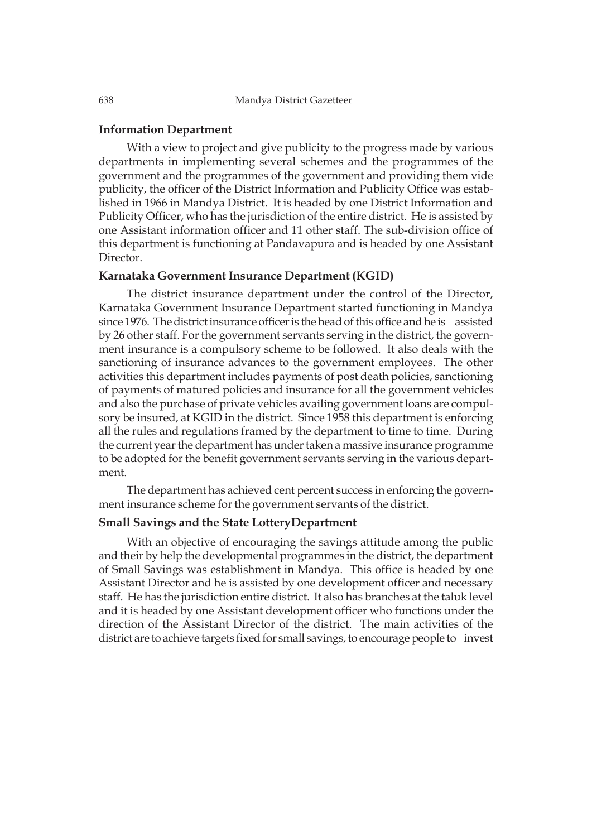# **Information Department**

With a view to project and give publicity to the progress made by various departments in implementing several schemes and the programmes of the government and the programmes of the government and providing them vide publicity, the officer of the District Information and Publicity Office was established in 1966 in Mandya District. It is headed by one District Information and Publicity Officer, who has the jurisdiction of the entire district. He is assisted by one Assistant information officer and 11 other staff. The sub-division office of this department is functioning at Pandavapura and is headed by one Assistant Director.

#### **Karnataka Government Insurance Department (KGID)**

The district insurance department under the control of the Director, Karnataka Government Insurance Department started functioning in Mandya since 1976. The district insurance officer is the head of this office and he is assisted by 26 other staff. For the government servants serving in the district, the government insurance is a compulsory scheme to be followed. It also deals with the sanctioning of insurance advances to the government employees. The other activities this department includes payments of post death policies, sanctioning of payments of matured policies and insurance for all the government vehicles and also the purchase of private vehicles availing government loans are compulsory be insured, at KGID in the district. Since 1958 this department is enforcing all the rules and regulations framed by the department to time to time. During the current year the department has under taken a massive insurance programme to be adopted for the benefit government servants serving in the various department.

The department has achieved cent percent success in enforcing the government insurance scheme for the government servants of the district.

# **Small Savings and the State LotteryDepartment**

With an objective of encouraging the savings attitude among the public and their by help the developmental programmes in the district, the department of Small Savings was establishment in Mandya. This office is headed by one Assistant Director and he is assisted by one development officer and necessary staff. He has the jurisdiction entire district. It also has branches at the taluk level and it is headed by one Assistant development officer who functions under the direction of the Assistant Director of the district. The main activities of the district are to achieve targets fixed for small savings, to encourage people to invest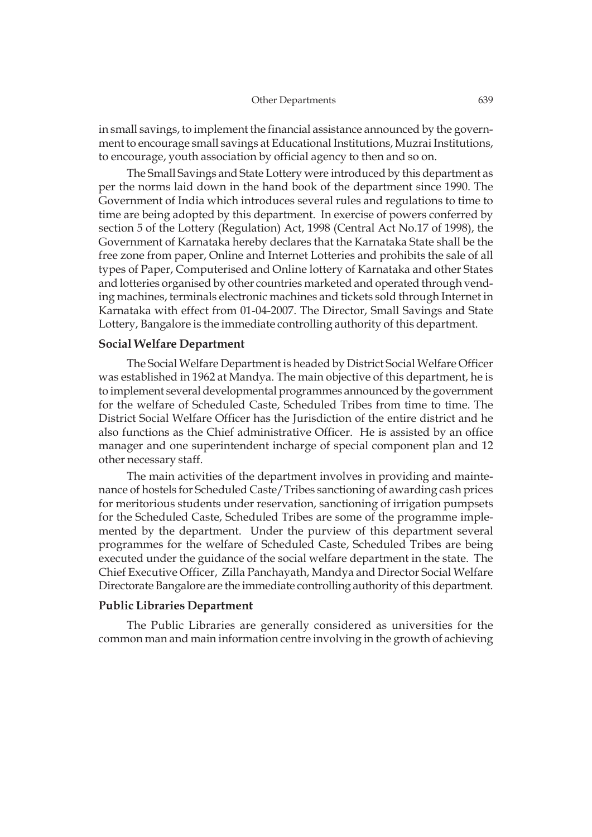in small savings, to implement the financial assistance announced by the government to encourage small savings at Educational Institutions, Muzrai Institutions, to encourage, youth association by official agency to then and so on.

The Small Savings and State Lottery were introduced by this department as per the norms laid down in the hand book of the department since 1990. The Government of India which introduces several rules and regulations to time to time are being adopted by this department. In exercise of powers conferred by section 5 of the Lottery (Regulation) Act, 1998 (Central Act No.17 of 1998), the Government of Karnataka hereby declares that the Karnataka State shall be the free zone from paper, Online and Internet Lotteries and prohibits the sale of all types of Paper, Computerised and Online lottery of Karnataka and other States and lotteries organised by other countries marketed and operated through vending machines, terminals electronic machines and tickets sold through Internet in Karnataka with effect from 01-04-2007. The Director, Small Savings and State Lottery, Bangalore is the immediate controlling authority of this department.

# **Social Welfare Department**

The Social Welfare Department is headed by District Social Welfare Officer was established in 1962 at Mandya. The main objective of this department, he is to implement several developmental programmes announced by the government for the welfare of Scheduled Caste, Scheduled Tribes from time to time. The District Social Welfare Officer has the Jurisdiction of the entire district and he also functions as the Chief administrative Officer. He is assisted by an office manager and one superintendent incharge of special component plan and 12 other necessary staff.

The main activities of the department involves in providing and maintenance of hostels for Scheduled Caste/Tribes sanctioning of awarding cash prices for meritorious students under reservation, sanctioning of irrigation pumpsets for the Scheduled Caste, Scheduled Tribes are some of the programme implemented by the department. Under the purview of this department several programmes for the welfare of Scheduled Caste, Scheduled Tribes are being executed under the guidance of the social welfare department in the state. The Chief Executive Officer, Zilla Panchayath, Mandya and Director Social Welfare Directorate Bangalore are the immediate controlling authority of this department.

### **Public Libraries Department**

The Public Libraries are generally considered as universities for the common man and main information centre involving in the growth of achieving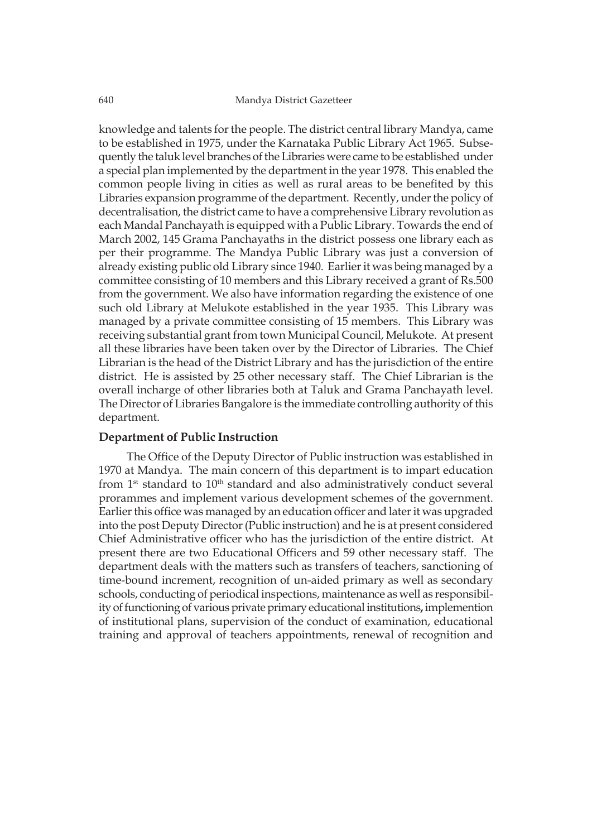knowledge and talents for the people. The district central library Mandya, came to be established in 1975, under the Karnataka Public Library Act 1965. Subsequently the taluk level branches of the Libraries were came to be established under a special plan implemented by the department in the year 1978. This enabled the common people living in cities as well as rural areas to be benefited by this Libraries expansion programme of the department. Recently, under the policy of decentralisation, the district came to have a comprehensive Library revolution as each Mandal Panchayath is equipped with a Public Library. Towards the end of March 2002, 145 Grama Panchayaths in the district possess one library each as per their programme. The Mandya Public Library was just a conversion of already existing public old Library since 1940. Earlier it was being managed by a committee consisting of 10 members and this Library received a grant of Rs.500 from the government. We also have information regarding the existence of one such old Library at Melukote established in the year 1935. This Library was managed by a private committee consisting of 15 members. This Library was receiving substantial grant from town Municipal Council, Melukote. At present all these libraries have been taken over by the Director of Libraries. The Chief Librarian is the head of the District Library and has the jurisdiction of the entire district. He is assisted by 25 other necessary staff. The Chief Librarian is the overall incharge of other libraries both at Taluk and Grama Panchayath level. The Director of Libraries Bangalore is the immediate controlling authority of this department.

# **Department of Public Instruction**

The Office of the Deputy Director of Public instruction was established in 1970 at Mandya. The main concern of this department is to impart education from  $1<sup>st</sup>$  standard to  $10<sup>th</sup>$  standard and also administratively conduct several prorammes and implement various development schemes of the government. Earlier this office was managed by an education officer and later it was upgraded into the post Deputy Director (Public instruction) and he is at present considered Chief Administrative officer who has the jurisdiction of the entire district. At present there are two Educational Officers and 59 other necessary staff. The department deals with the matters such as transfers of teachers, sanctioning of time-bound increment, recognition of un-aided primary as well as secondary schools, conducting of periodical inspections, maintenance as well as responsibility of functioning of various private primary educational institutions**,** implemention of institutional plans, supervision of the conduct of examination, educational training and approval of teachers appointments, renewal of recognition and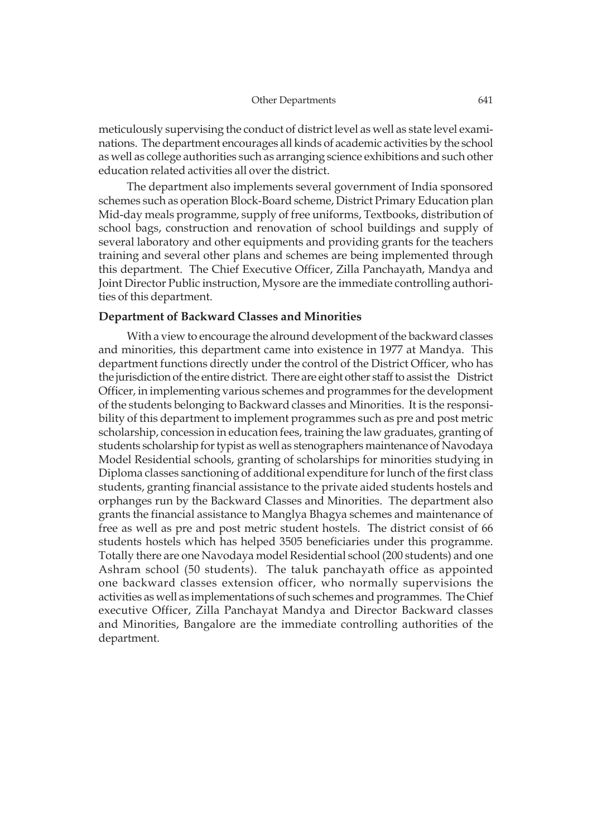meticulously supervising the conduct of district level as well as state level examinations. The department encourages all kinds of academic activities by the school as well as college authorities such as arranging science exhibitions and such other education related activities all over the district.

The department also implements several government of India sponsored schemes such as operation Block-Board scheme, District Primary Education plan Mid-day meals programme, supply of free uniforms, Textbooks, distribution of school bags, construction and renovation of school buildings and supply of several laboratory and other equipments and providing grants for the teachers training and several other plans and schemes are being implemented through this department. The Chief Executive Officer, Zilla Panchayath, Mandya and Joint Director Public instruction, Mysore are the immediate controlling authorities of this department.

# **Department of Backward Classes and Minorities**

With a view to encourage the alround development of the backward classes and minorities, this department came into existence in 1977 at Mandya. This department functions directly under the control of the District Officer, who has the jurisdiction of the entire district. There are eight other staff to assist the District Officer, in implementing various schemes and programmes for the development of the students belonging to Backward classes and Minorities. It is the responsibility of this department to implement programmes such as pre and post metric scholarship, concession in education fees, training the law graduates, granting of students scholarship for typist as well as stenographers maintenance of Navodaya Model Residential schools, granting of scholarships for minorities studying in Diploma classes sanctioning of additional expenditure for lunch of the first class students, granting financial assistance to the private aided students hostels and orphanges run by the Backward Classes and Minorities. The department also grants the financial assistance to Manglya Bhagya schemes and maintenance of free as well as pre and post metric student hostels. The district consist of 66 students hostels which has helped 3505 beneficiaries under this programme. Totally there are one Navodaya model Residential school (200 students) and one Ashram school (50 students). The taluk panchayath office as appointed one backward classes extension officer, who normally supervisions the activities as well as implementations of such schemes and programmes. The Chief executive Officer, Zilla Panchayat Mandya and Director Backward classes and Minorities, Bangalore are the immediate controlling authorities of the department.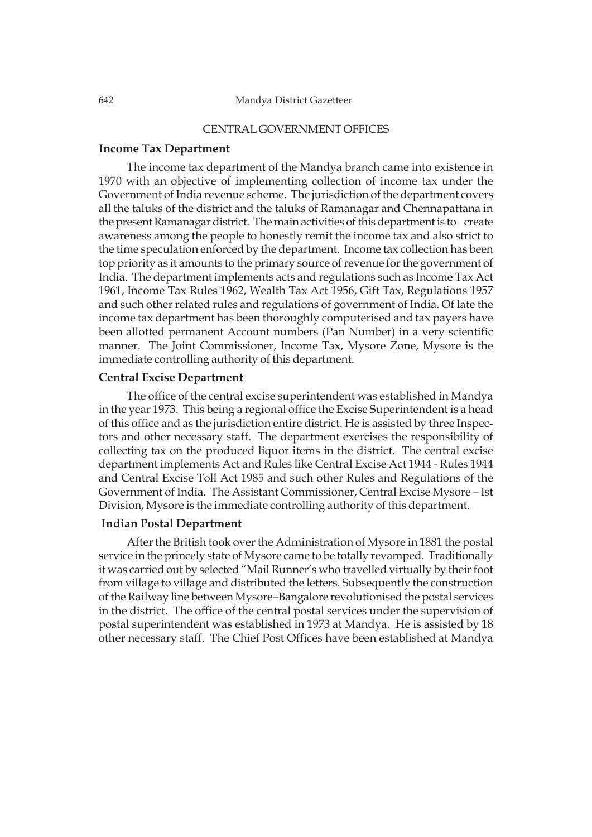### CENTRAL GOVERNMENT OFFICES

#### **Income Tax Department**

The income tax department of the Mandya branch came into existence in 1970 with an objective of implementing collection of income tax under the Government of India revenue scheme. The jurisdiction of the department covers all the taluks of the district and the taluks of Ramanagar and Chennapattana in the present Ramanagar district. The main activities of this department is to create awareness among the people to honestly remit the income tax and also strict to the time speculation enforced by the department. Income tax collection has been top priority as it amounts to the primary source of revenue for the government of India. The department implements acts and regulations such as Income Tax Act 1961, Income Tax Rules 1962, Wealth Tax Act 1956, Gift Tax, Regulations 1957 and such other related rules and regulations of government of India. Of late the income tax department has been thoroughly computerised and tax payers have been allotted permanent Account numbers (Pan Number) in a very scientific manner. The Joint Commissioner, Income Tax, Mysore Zone, Mysore is the immediate controlling authority of this department.

# **Central Excise Department**

The office of the central excise superintendent was established in Mandya in the year 1973. This being a regional office the Excise Superintendent is a head of this office and as the jurisdiction entire district. He is assisted by three Inspectors and other necessary staff. The department exercises the responsibility of collecting tax on the produced liquor items in the district. The central excise department implements Act and Rules like Central Excise Act 1944 - Rules 1944 and Central Excise Toll Act 1985 and such other Rules and Regulations of the Government of India. The Assistant Commissioner, Central Excise Mysore – Ist Division, Mysore is the immediate controlling authority of this department.

#### **Indian Postal Department**

After the British took over the Administration of Mysore in 1881 the postal service in the princely state of Mysore came to be totally revamped. Traditionally it was carried out by selected "Mail Runner's who travelled virtually by their foot from village to village and distributed the letters. Subsequently the construction of the Railway line between Mysore–Bangalore revolutionised the postal services in the district. The office of the central postal services under the supervision of postal superintendent was established in 1973 at Mandya. He is assisted by 18 other necessary staff. The Chief Post Offices have been established at Mandya